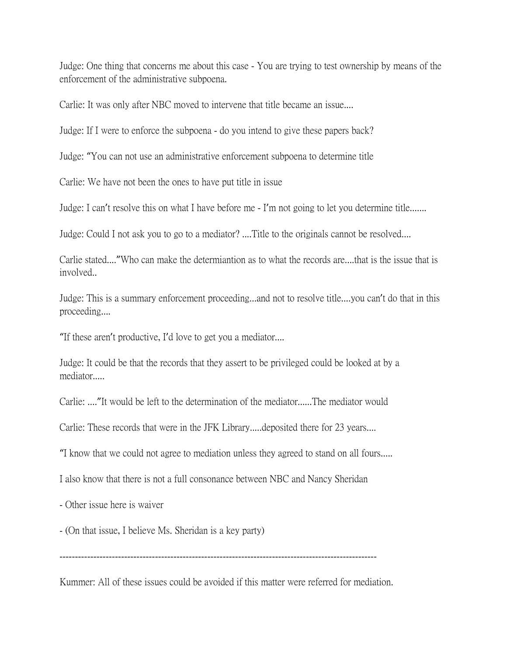Judge: One thing that concerns me about this case - You are trying to test ownership by means of the enforcement of the administrative subpoena.

Carlie: It was only after NBC moved to intervene that title became an issue....

Judge: If I were to enforce the subpoena - do you intend to give these papers back?

Judge: "You can not use an administrative enforcement subpoena to determine title

Carlie: We have not been the ones to have put title in issue

Judge: I can't resolve this on what I have before me - I'm not going to let you determine title.......

Judge: Could I not ask you to go to a mediator? ....Title to the originals cannot be resolved....

Carlie stated...."Who can make the determiantion as to what the records are....that is the issue that is involved..

Judge: This is a summary enforcement proceeding...and not to resolve title....you can't do that in this proceeding....

"If these aren't productive, I'd love to get you a mediator....

Judge: It could be that the records that they assert to be privileged could be looked at by a mediator.....

Carlie: ...."It would be left to the determination of the mediator......The mediator would

Carlie: These records that were in the JFK Library.....deposited there for 23 years....

"I know that we could not agree to mediation unless they agreed to stand on all fours.....

I also know that there is not a full consonance between NBC and Nancy Sheridan

- Other issue here is waiver

- (On that issue, I believe Ms. Sheridan is a key party)

-------------------------------------------------------------------------------------------------------

Kummer: All of these issues could be avoided if this matter were referred for mediation.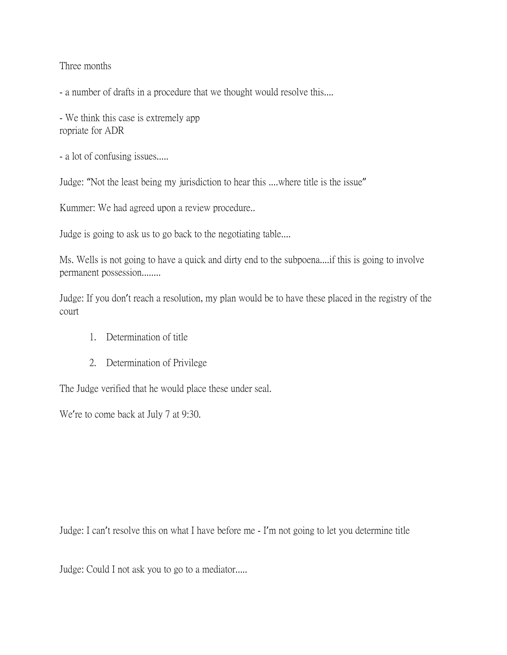Three months

- a number of drafts in a procedure that we thought would resolve this....

- We think this case is extremely app ropriate for ADR

- a lot of confusing issues.....

Judge: "Not the least being my jurisdiction to hear this ....where title is the issue"

Kummer: We had agreed upon a review procedure..

Judge is going to ask us to go back to the negotiating table....

Ms. Wells is not going to have a quick and dirty end to the subpoena....if this is going to involve permanent possession........

Judge: If you don't reach a resolution, my plan would be to have these placed in the registry of the court

- 1. Determination of title
- 2. Determination of Privilege

The Judge verified that he would place these under seal.

We're to come back at July 7 at 9:30.

Judge: I can't resolve this on what I have before me - I'm not going to let you determine title

Judge: Could I not ask you to go to a mediator.....